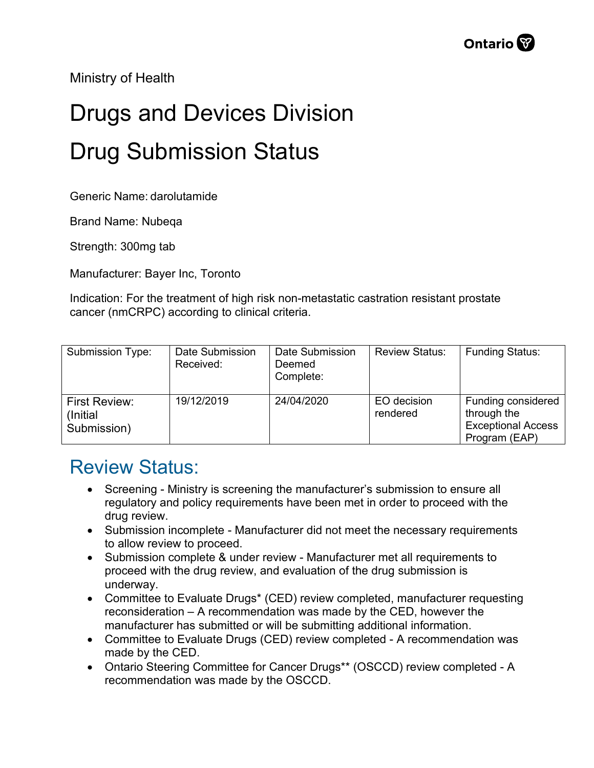Ministry of Health

## Drugs and Devices Division Drug Submission Status

Generic Name: darolutamide

Brand Name: Nubeqa

Strength: 300mg tab

Manufacturer: Bayer Inc, Toronto

Indication: For the treatment of high risk non-metastatic castration resistant prostate cancer (nmCRPC) according to clinical criteria.

| Submission Type:                          | Date Submission<br>Received: | Date Submission<br>Deemed<br>Complete: | <b>Review Status:</b>   | <b>Funding Status:</b>                                                          |
|-------------------------------------------|------------------------------|----------------------------------------|-------------------------|---------------------------------------------------------------------------------|
| First Review:<br>(Initial)<br>Submission) | 19/12/2019                   | 24/04/2020                             | EO decision<br>rendered | Funding considered<br>through the<br><b>Exceptional Access</b><br>Program (EAP) |

## Review Status:

- Screening Ministry is screening the manufacturer's submission to ensure all regulatory and policy requirements have been met in order to proceed with the drug review.
- Submission incomplete Manufacturer did not meet the necessary requirements to allow review to proceed.
- Submission complete & under review Manufacturer met all requirements to proceed with the drug review, and evaluation of the drug submission is underway.
- Committee to Evaluate Drugs\* (CED) review completed, manufacturer requesting reconsideration – A recommendation was made by the CED, however the manufacturer has submitted or will be submitting additional information.
- Committee to Evaluate Drugs (CED) review completed A recommendation was made by the CED.
- Ontario Steering Committee for Cancer Drugs\*\* (OSCCD) review completed A recommendation was made by the OSCCD.